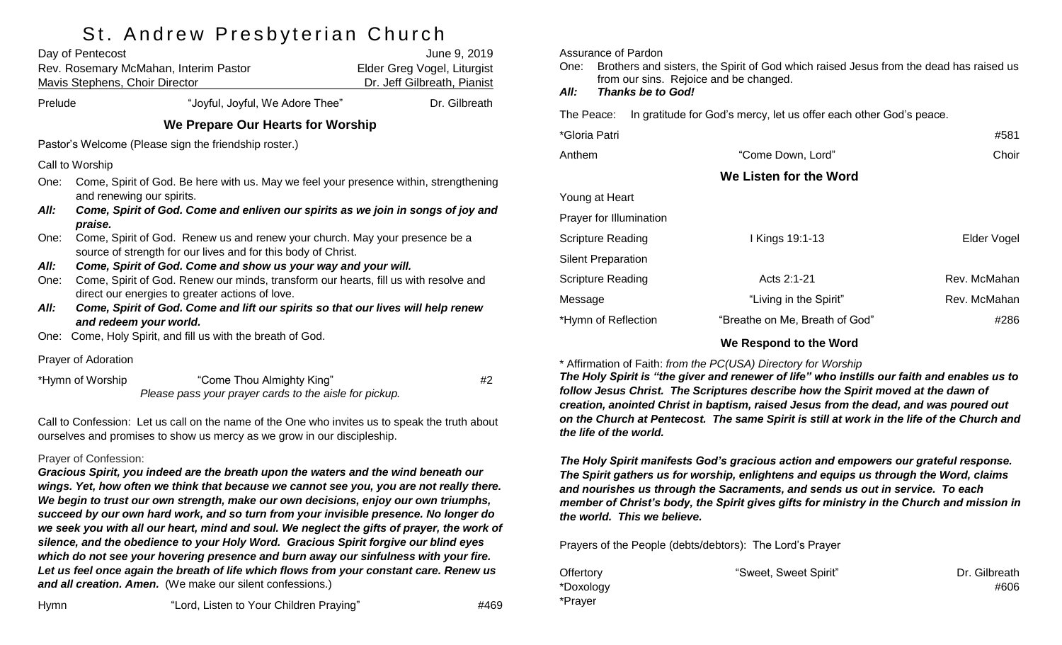# St Andrew Preshyterian Church

|                                                                                                                    | $\mathbf{r}$<br>Day of Pentecost<br>Rev. Rosemary McMahan, Interim Pastor<br><b>Mavis Stephens, Choir Director</b>                           | June 9, 2019<br>Elder Greg Vogel, Liturgist<br>Dr. Jeff Gilbreath, Pianist |  |  |  |
|--------------------------------------------------------------------------------------------------------------------|----------------------------------------------------------------------------------------------------------------------------------------------|----------------------------------------------------------------------------|--|--|--|
| Prelude                                                                                                            | "Joyful, Joyful, We Adore Thee"                                                                                                              | Dr. Gilbreath                                                              |  |  |  |
| We Prepare Our Hearts for Worship                                                                                  |                                                                                                                                              |                                                                            |  |  |  |
| Pastor's Welcome (Please sign the friendship roster.)                                                              |                                                                                                                                              |                                                                            |  |  |  |
| Call to Worship                                                                                                    |                                                                                                                                              |                                                                            |  |  |  |
| One:                                                                                                               | Come, Spirit of God. Be here with us. May we feel your presence within, strengthening<br>and renewing our spirits.                           |                                                                            |  |  |  |
| All:                                                                                                               | Come, Spirit of God. Come and enliven our spirits as we join in songs of joy and<br>praise.                                                  |                                                                            |  |  |  |
| One:                                                                                                               | Come, Spirit of God. Renew us and renew your church. May your presence be a<br>source of strength for our lives and for this body of Christ. |                                                                            |  |  |  |
| All:                                                                                                               | Come, Spirit of God. Come and show us your way and your will.                                                                                |                                                                            |  |  |  |
| One:                                                                                                               | Come, Spirit of God. Renew our minds, transform our hearts, fill us with resolve and<br>direct our energies to greater actions of love.      |                                                                            |  |  |  |
| All:<br>Come, Spirit of God. Come and lift our spirits so that our lives will help renew<br>and redeem your world. |                                                                                                                                              |                                                                            |  |  |  |
| One:                                                                                                               | Come, Holy Spirit, and fill us with the breath of God.                                                                                       |                                                                            |  |  |  |
| Prayer of Adoration                                                                                                |                                                                                                                                              |                                                                            |  |  |  |
| *Hymn of Worship<br>"Come Thou Almighty King"<br>Please pass your prayer cards to the aisle for pickup.            |                                                                                                                                              | #2                                                                         |  |  |  |

Call to Confession: Let us call on the name of the One who invites us to speak the truth about ourselves and promises to show us mercy as we grow in our discipleship.

#### Prayer of Confession:

*Gracious Spirit, you indeed are the breath upon the waters and the wind beneath our wings. Yet, how often we think that because we cannot see you, you are not really there. We begin to trust our own strength, make our own decisions, enjoy our own triumphs, succeed by our own hard work, and so turn from your invisible presence. No longer do we seek you with all our heart, mind and soul. We neglect the gifts of prayer, the work of silence, and the obedience to your Holy Word. Gracious Spirit forgive our blind eyes which do not see your hovering presence and burn away our sinfulness with your fire. Let us feel once again the breath of life which flows from your constant care. Renew us and all creation. Amen.* (We make our silent confessions.)

Assurance of Pardon

One: Brothers and sisters, the Spirit of God which raised Jesus from the dead has raised us from our sins. Rejoice and be changed.

*All: Thanks be to God!*

The Peace: In gratitude for God's mercy, let us offer each other God's peace.

| *Gloria Patri             |                                | #581         |
|---------------------------|--------------------------------|--------------|
| Anthem                    | "Come Down, Lord"              | Choir        |
|                           | We Listen for the Word         |              |
| Young at Heart            |                                |              |
| Prayer for Illumination   |                                |              |
| Scripture Reading         | I Kings 19:1-13                | Elder Vogel  |
| <b>Silent Preparation</b> |                                |              |
| Scripture Reading         | Acts 2:1-21                    | Rev. McMahan |
| Message                   | "Living in the Spirit"         | Rev. McMahan |
| *Hymn of Reflection       | "Breathe on Me, Breath of God" | #286         |
|                           |                                |              |

#### **We Respond to the Word**

\* Affirmation of Faith: *from the PC(USA) Directory for Worship*

*The Holy Spirit is "the giver and renewer of life" who instills our faith and enables us to follow Jesus Christ. The Scriptures describe how the Spirit moved at the dawn of creation, anointed Christ in baptism, raised Jesus from the dead, and was poured out on the Church at Pentecost. The same Spirit is still at work in the life of the Church and the life of the world.*

*The Holy Spirit manifests God's gracious action and empowers our grateful response. The Spirit gathers us for worship, enlightens and equips us through the Word, claims and nourishes us through the Sacraments, and sends us out in service. To each member of Christ's body, the Spirit gives gifts for ministry in the Church and mission in the world. This we believe.*

Prayers of the People (debts/debtors): The Lord's Prayer

| Offertory | "Sweet, Sweet Spirit" | Dr. Gilbreath |
|-----------|-----------------------|---------------|
| *Doxology |                       | #606          |
| *Prayer   |                       |               |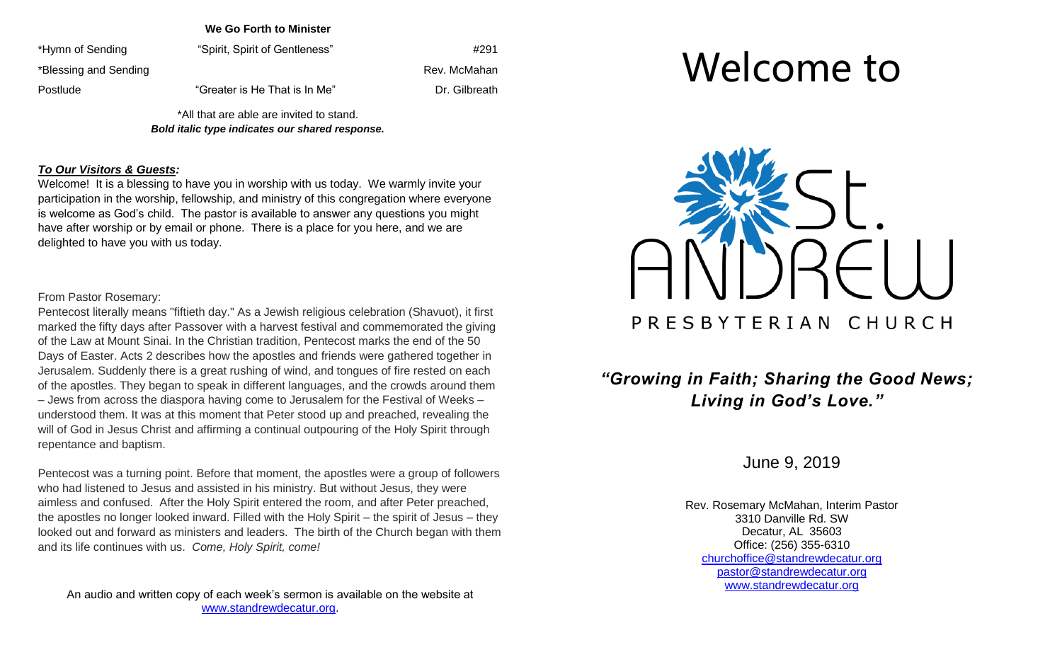**We Go Forth to Minister**

\*Hymn of Sending "Spirit, Spirit of Gentleness" And the theory of Sending the term of Sending and the term of the term of the term of the term of the term of the term of term of term of term of term of term of term of term \*Blessing and Sending Rev. McMahan Rev. McMahan Postlude That is He That is In Me" The Subreath Dr. Gilbreath

> \*All that are able are invited to stand. *Bold italic type indicates our shared response.*

#### *To Our Visitors & Guests:*

Welcome! It is a blessing to have you in worship with us today. We warmly invite your participation in the worship, fellowship, and ministry of this congregation where everyone is welcome as God's child. The pastor is available to answer any questions you might have after worship or by email or phone. There is a place for you here, and we are delighted to have you with us today.

#### From Pastor Rosemary:

Pentecost literally means "fiftieth day." As a Jewish religious celebration (Shavuot), it first marked the fifty days after Passover with a harvest festival and commemorated the giving of the Law at Mount Sinai. In the Christian tradition, Pentecost marks the end of the 50 Days of Easter. Acts 2 describes how the apostles and friends were gathered together in Jerusalem. Suddenly there is a great rushing of wind, and tongues of fire rested on each of the apostles. They began to speak in different languages, and the crowds around them – Jews from across the diaspora having come to Jerusalem for the Festival of Weeks – understood them. It was at this moment that Peter stood up and preached, revealing the will of God in Jesus Christ and affirming a continual outpouring of the Holy Spirit through repentance and baptism.

Pentecost was a turning point. Before that moment, the apostles were a group of followers who had listened to Jesus and assisted in his ministry. But without Jesus, they were aimless and confused. After the Holy Spirit entered the room, and after Peter preached, the apostles no longer looked inward. Filled with the Holy Spirit – the spirit of Jesus – they looked out and forward as ministers and leaders. The birth of the Church began with them and its life continues with us. *Come, Holy Spirit, come!*

An audio and written copy of each week's sermon is available on the website at [www.standrewdecatur.org.](http://www.standrewdecatur.org/)

# Welcome to



## *"Growing in Faith; Sharing the Good News; Living in God's Love."*

June 9, 2019

Rev. Rosemary McMahan, Interim Pastor 3310 Danville Rd. SW Decatur, AL 35603 Office: (256) 355-6310 [churchoffice@standrewdecatur.org](mailto:churchoffice@standrewdecatur.org) pastor@standrewdecatur.org [www.standrewdecatur.org](http://www.standrewdecatur.org/)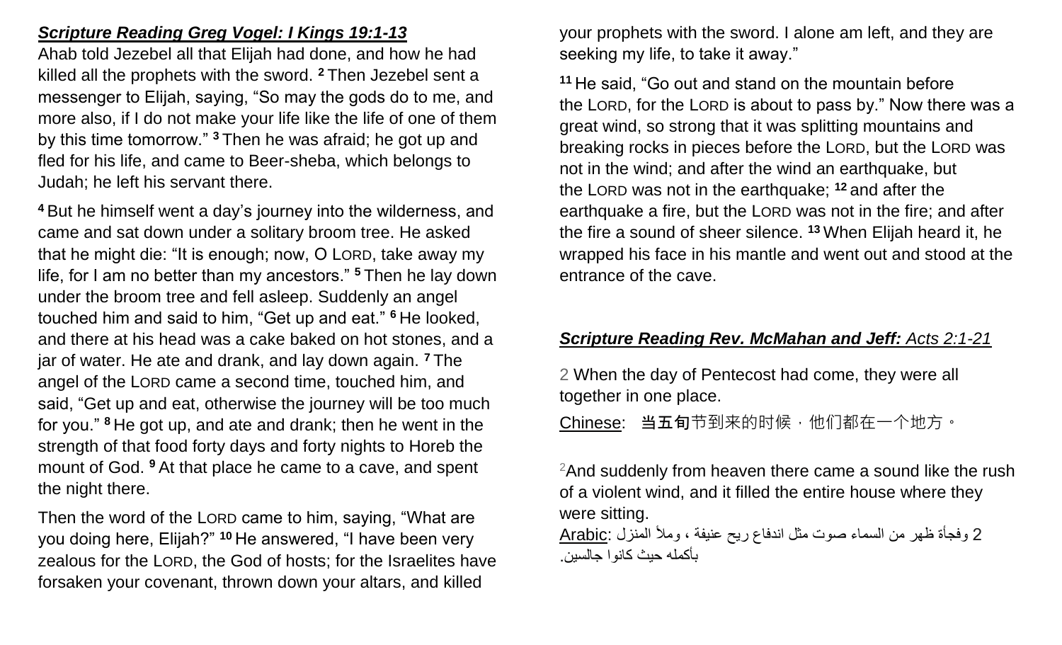## *Scripture Reading Greg Vogel: I Kings 19:1-13*

Ahab told Jezebel all that Elijah had done, and how he had killed all the prophets with the sword. **<sup>2</sup>** Then Jezebel sent a messenger to Elijah, saying, "So may the gods do to me, and more also, if I do not make your life like the life of one of them by this time tomorrow." **<sup>3</sup>** Then he was afraid; he got up and fled for his life, and came to Beer-sheba, which belongs to Judah; he left his servant there.

**<sup>4</sup>** But he himself went a day's journey into the wilderness, and came and sat down under a solitary broom tree. He asked that he might die: "It is enough; now, O LORD, take away my life, for I am no better than my ancestors." **<sup>5</sup>** Then he lay down under the broom tree and fell asleep. Suddenly an angel touched him and said to him, "Get up and eat." **<sup>6</sup>** He looked, and there at his head was a cake baked on hot stones, and a jar of water. He ate and drank, and lay down again. **<sup>7</sup>** The angel of the LORD came a second time, touched him, and said, "Get up and eat, otherwise the journey will be too much for you." **<sup>8</sup>** He got up, and ate and drank; then he went in the strength of that food forty days and forty nights to Horeb the mount of God. **<sup>9</sup>** At that place he came to a cave, and spent the night there.

Then the word of the LORD came to him, saying, "What are you doing here, Elijah?" **<sup>10</sup>** He answered, "I have been very zealous for the LORD, the God of hosts; for the Israelites have forsaken your covenant, thrown down your altars, and killed

your prophets with the sword. I alone am left, and they are seeking my life, to take it away."

**<sup>11</sup>** He said, "Go out and stand on the mountain before the LORD, for the LORD is about to pass by." Now there was a great wind, so strong that it was splitting mountains and breaking rocks in pieces before the LORD, but the LORD was not in the wind; and after the wind an earthquake, but the LORD was not in the earthquake; **<sup>12</sup>** and after the earthquake a fire, but the LORD was not in the fire; and after the fire a sound of sheer silence. **<sup>13</sup>** When Elijah heard it, he wrapped his face in his mantle and went out and stood at the entrance of the cave.

### *Scripture Reading Rev. McMahan and Jeff: Acts 2:1-21*

2 When the day of Pentecost had come, they were all together in one place.

Chinese: 当五旬节到来的时候,他们都在一个地方。

 $2$ And suddenly from heaven there came a sound like the rush of a violent wind, and it filled the entire house where they were sitting.

 2 وفجأة ظهر من السماء صوت مثل اندفاع ريح عنيفة ، ومأل المنزل :Arabic بأكمله حيث كانوا جالسين.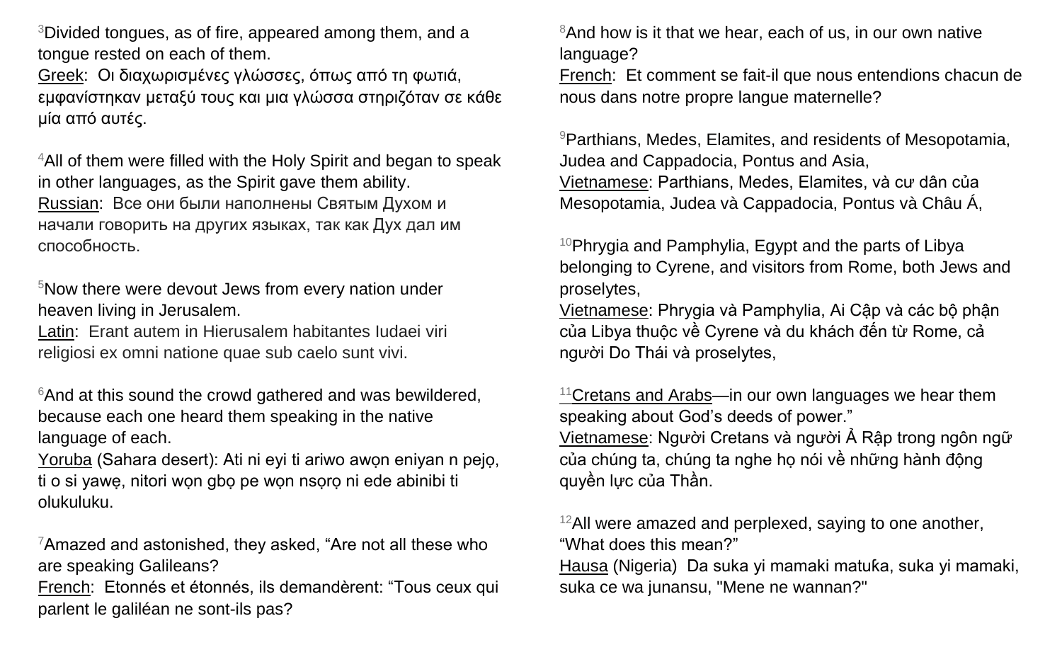<sup>3</sup>Divided tongues, as of fire, appeared among them, and a tongue rested on each of them.

Greek: Οι διαχωρισμένες γλώσσες, όπως από τη φωτιά, εμφανίστηκαν μεταξύ τους και μια γλώσσα στηριζόταν σε κάθε μία από αυτές.

<sup>4</sup>All of them were filled with the Holy Spirit and began to speak in other languages, as the Spirit gave them ability. Russian: Все они были наполнены Святым Духом и начали говорить на других языках, так как Дух дал им способность.

<sup>5</sup>Now there were devout Jews from every nation under heaven living in Jerusalem.

Latin: Erant autem in Hierusalem habitantes Iudaei viri religiosi ex omni natione quae sub caelo sunt vivi.

 $6$ And at this sound the crowd gathered and was bewildered, because each one heard them speaking in the native language of each.

Yoruba (Sahara desert): Ati ni eyi ti ariwo awọn eniyan n pejọ, ti o si yawẹ, nitori wọn gbọ pe wọn nsọrọ ni ede abinibi ti olukuluku.

 $7$ Amazed and astonished, they asked, "Are not all these who are speaking Galileans?

French: Etonnés et étonnés, ils demandèrent: "Tous ceux qui parlent le galiléan ne sont-ils pas?

<sup>8</sup>And how is it that we hear, each of us, in our own native language?

French: Et comment se fait-il que nous entendions chacun de nous dans notre propre langue maternelle?

<sup>9</sup>Parthians, Medes, Elamites, and residents of Mesopotamia, Judea and Cappadocia, Pontus and Asia, Vietnamese: Parthians, Medes, Elamites, và cư dân của Mesopotamia, Judea và Cappadocia, Pontus và Châu Á,

<sup>10</sup>Phrygia and Pamphylia, Egypt and the parts of Libya belonging to Cyrene, and visitors from Rome, both Jews and proselytes,

Vietnamese: Phrygia và Pamphylia, Ai Cập và các bộ phận của Libya thuộc về Cyrene và du khách đến từ Rome, cả người Do Thái và proselytes,

 $11$ Cretans and Arabs—in our own languages we hear them speaking about God's deeds of power." Vietnamese: Người Cretans và người Ả Rập trong ngôn ngữ của chúng ta, chúng ta nghe họ nói về những hành động quyền lực của Thần.

 $12$ All were amazed and perplexed, saying to one another, "What does this mean?"

Hausa (Nigeria) Da suka yi mamaki matuƙa, suka yi mamaki, suka ce wa junansu, "Mene ne wannan?"